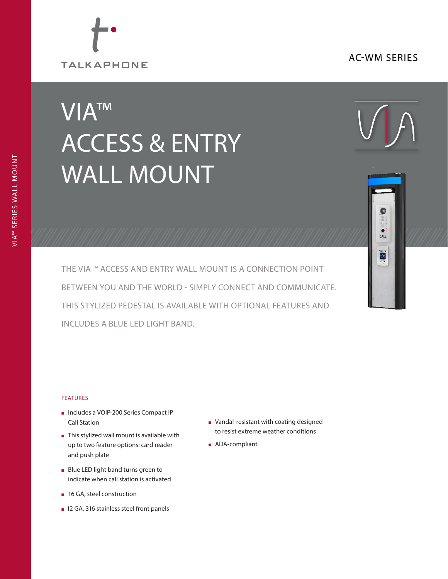# AC-WM SERIES

# **TALKAPHONE**

# VIA™ ACCESS & ENTRY WALL MOUNT



 $\bullet$ CALL



## FEATURES

- <sup>n</sup> Includes a VOIP-200 Series Compact IP Call Station
- $\blacksquare$  This stylized wall mount is available with up to two feature options: card reader and push plate
- **n** Blue LED light band turns green to indicate when call station is activated
- 16 GA, steel construction
- 12 GA, 316 stainless steel front panels
- <sup>n</sup> Vandal-resistant with coating designed to resist extreme weather conditions
- ADA-compliant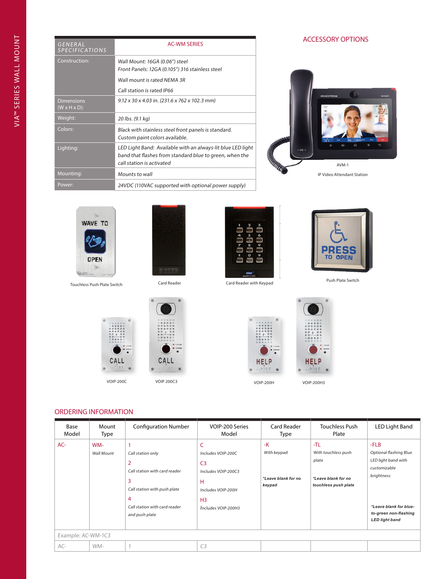| GENERAL<br><b>SPECIFICATIONS</b>               | <b>AC-WM SERIES</b>                                                                                                                                 |  |  |
|------------------------------------------------|-----------------------------------------------------------------------------------------------------------------------------------------------------|--|--|
| Construction:                                  | Wall Mount: 16GA (0.06") steel<br>Front Panels: 12GA (0.105") 316 stainless steel                                                                   |  |  |
|                                                | Wall mount is rated NEMA 3R                                                                                                                         |  |  |
|                                                | Call station is rated IP66                                                                                                                          |  |  |
| <b>Dimensions</b><br>$(W \times H \times D)$ : | 9.12 x 30 x 4.03 in. (231.6 x 762 x 102.3 mm)                                                                                                       |  |  |
| Weight:                                        | 20 lbs. (9.1 kg)                                                                                                                                    |  |  |
| Colors:                                        | Black with stainless steel front panels is standard.<br>Custom paint colors available.                                                              |  |  |
| Lighting:                                      | LED Light Band: Available with an always-lit blue LED light<br>band that flashes from standard blue to green, when the<br>call station is activated |  |  |
| Mounting:                                      | Mounts to wall                                                                                                                                      |  |  |
| Power:                                         | 24VDC (110VAC supported with optional power supply)                                                                                                 |  |  |

# ACCESSORY OPTIONS







Touchless Push Plate Switch Card Reader Card Reader Card Reader With Keypad Push Plate Switch

CA









ORDERING INFORMATION

CAL

| Base<br>Model      | Mount<br><b>Type</b>     | <b>Configuration Number</b>                                                                                                                          | VOIP-200 Series<br>Model                                                                                                             | Card Reader<br>Type                                  | <b>Touchless Push</b><br>Plate                                                     | LED Light Band                                                                                                                                                    |
|--------------------|--------------------------|------------------------------------------------------------------------------------------------------------------------------------------------------|--------------------------------------------------------------------------------------------------------------------------------------|------------------------------------------------------|------------------------------------------------------------------------------------|-------------------------------------------------------------------------------------------------------------------------------------------------------------------|
| $AC-$              | WM-<br><b>Wall Mount</b> | Call station only<br>2<br>Call station with card reader<br>3<br>Call station with push plate<br>4<br>Call station with card reader<br>and push plate | Ċ<br>Includes VOIP-200C<br>C <sub>3</sub><br>Includes VOIP-200C3<br>н<br>Includes VOIP-200H<br>H <sub>3</sub><br>Includes VOIP-200H3 | $-K$<br>With keypad<br>*Leave blank for no<br>keypad | -TL<br>With touchless push<br>plate<br>*Leave blank for no<br>touchless push plate | $-FLB$<br>Optional flashing Blue<br>LED light band with<br>customizable<br>brightness<br>*Leave blank for blue-<br>to-green non-flashing<br><b>LED light band</b> |
| Example: AC-WM-1C3 |                          |                                                                                                                                                      |                                                                                                                                      |                                                      |                                                                                    |                                                                                                                                                                   |
| $AC-$              | $WM-$                    |                                                                                                                                                      | C <sub>3</sub>                                                                                                                       |                                                      |                                                                                    |                                                                                                                                                                   |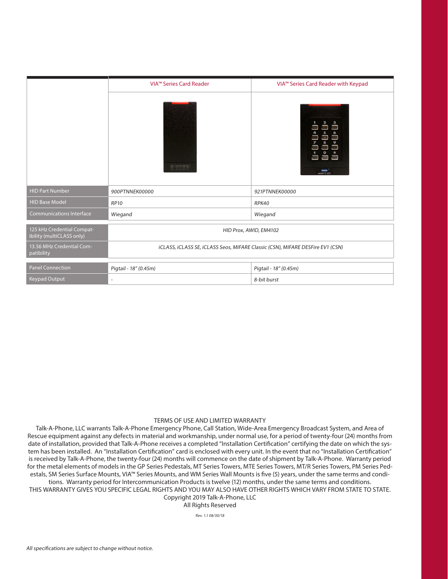|                                                         | VIA <sup>™</sup> Series Card Reader                                            | VIA <sup>™</sup> Series Card Reader with Keypad                                                                                  |  |
|---------------------------------------------------------|--------------------------------------------------------------------------------|----------------------------------------------------------------------------------------------------------------------------------|--|
|                                                         | <b>图 图图图像</b>                                                                  | $\mathbf{3}$<br>J<br>$\rightarrow$<br><b>Contract</b><br>$\bullet$<br>$\sim$<br><b>College</b><br>HID <sup>'</sup><br>multiCLASS |  |
| <b>HID Part Number</b>                                  | 900PTNNEK00000                                                                 | 921PTNNEK00000                                                                                                                   |  |
| <b>HID Base Model</b>                                   | <b>RP10</b>                                                                    | RPK40                                                                                                                            |  |
| <b>Communications Interface</b>                         | Wiegand                                                                        | Wiegand                                                                                                                          |  |
| 125 kHz Credential Compat-<br>ibility (multiCLASS only) | HID Prox, AWID, EM4102                                                         |                                                                                                                                  |  |
| 13.56 MHz Credential Com-<br>patibility                 | iCLASS, iCLASS SE, iCLASS Seos, MIFARE Classic (CSN), MIFARE DESFire EV1 (CSN) |                                                                                                                                  |  |
| <b>Panel Connection</b>                                 | Pigtail - 18" (0.45m)                                                          | Pigtail - 18" (0.45m)                                                                                                            |  |
| <b>Keypad Output</b>                                    | $\overline{\phantom{a}}$                                                       | 8-bit burst                                                                                                                      |  |

#### TERMS OF USE AND LIMITED WARRANTY

Talk-A-Phone, LLC warrants Talk-A-Phone Emergency Phone, Call Station, Wide-Area Emergency Broadcast System, and Area of Rescue equipment against any defects in material and workmanship, under normal use, for a period of twenty-four (24) months from date of installation, provided that Talk-A-Phone receives a completed "Installation Certification" certifying the date on which the system has been installed. An "Installation Certification" card is enclosed with every unit. In the event that no "Installation Certification" is received by Talk-A-Phone, the twenty-four (24) months will commence on the date of shipment by Talk-A-Phone. Warranty period for the metal elements of models in the GP Series Pedestals, MT Series Towers, MTE Series Towers, MT/R Series Towers, PM Series Pedestals, SM Series Surface Mounts, VIA™ Series Mounts, and WM Series Wall Mounts is five (5) years, under the same terms and conditions. Warranty period for Intercommunication Products is twelve (12) months, under the same terms and conditions.

THIS WARRANTY GIVES YOU SPECIFIC LEGAL RIGHTS AND YOU MAY ALSO HAVE OTHER RIGHTS WHICH VARY FROM STATE TO STATE.

Copyright 2019 Talk-A-Phone, LLC All Rights Reserved

Rev. 1.1 08/30/18